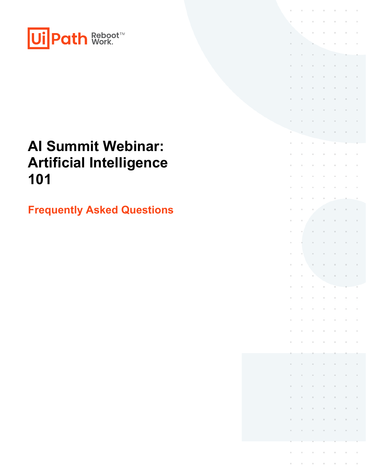

# **AI Summit Webinar: Artificial Intelligence 101**

**Frequently Asked Questions**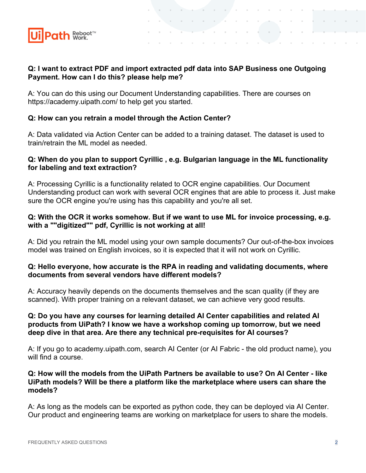

# **Q: I want to extract PDF and import extracted pdf data into SAP Business one Outgoing Payment. How can I do this? please help me?**

 $\mathcal{A}^{\mathcal{A}}$  and  $\mathcal{A}^{\mathcal{A}}$  are  $\mathcal{A}^{\mathcal{A}}$  . In the case of  $\mathcal{A}^{\mathcal{A}}$ 

contract and a state

the company's company's company's

Tana a

 $\alpha$  , and  $\alpha$  , and  $\alpha$  , and  $\alpha$ 

and the con-

and the control

A: You can do this using our Document Understanding capabilities. There are courses on https://academy.uipath.com/ to help get you started.

# **Q: How can you retrain a model through the Action Center?**

A: Data validated via Action Center can be added to a training dataset. The dataset is used to train/retrain the ML model as needed.

# **Q: When do you plan to support Cyrillic , e.g. Bulgarian language in the ML functionality for labeling and text extraction?**

A: Processing Cyrillic is a functionality related to OCR engine capabilities. Our Document Understanding product can work with several OCR engines that are able to process it. Just make sure the OCR engine you're using has this capability and you're all set.

# **Q: With the OCR it works somehow. But if we want to use ML for invoice processing, e.g. with a ""digitized"" pdf, Cyrillic is not working at all!**

A: Did you retrain the ML model using your own sample documents? Our out-of-the-box invoices model was trained on English invoices, so it is expected that it will not work on Cyrillic.

#### **Q: Hello everyone, how accurate is the RPA in reading and validating documents, where documents from several vendors have different models?**

A: Accuracy heavily depends on the documents themselves and the scan quality (if they are scanned). With proper training on a relevant dataset, we can achieve very good results.

# **Q: Do you have any courses for learning detailed AI Center capabilities and related AI products from UiPath? I know we have a workshop coming up tomorrow, but we need deep dive in that area. Are there any technical pre-requisites for AI courses?**

A: If you go to academy.uipath.com, search AI Center (or AI Fabric - the old product name), you will find a course.

### **Q: How will the models from the UiPath Partners be available to use? On AI Center - like UiPath models? Will be there a platform like the marketplace where users can share the models?**

A: As long as the models can be exported as python code, they can be deployed via AI Center. Our product and engineering teams are working on marketplace for users to share the models.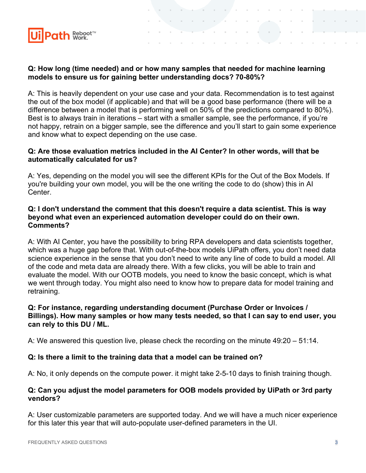

# **Q: How long (time needed) and or how many samples that needed for machine learning models to ensure us for gaining better understanding docs? 70-80%?**

 $\sim$  10  $\sim$ 

A: This is heavily dependent on your use case and your data. Recommendation is to test against the out of the box model (if applicable) and that will be a good base performance (there will be a difference between a model that is performing well on 50% of the predictions compared to 80%). Best is to always train in iterations – start with a smaller sample, see the performance, if you're not happy, retrain on a bigger sample, see the difference and you'll start to gain some experience and know what to expect depending on the use case.

## **Q: Are those evaluation metrics included in the AI Center? In other words, will that be automatically calculated for us?**

A: Yes, depending on the model you will see the different KPIs for the Out of the Box Models. If you're building your own model, you will be the one writing the code to do (show) this in AI Center.

# **Q: I don't understand the comment that this doesn't require a data scientist. This is way beyond what even an experienced automation developer could do on their own. Comments?**

A: With AI Center, you have the possibility to bring RPA developers and data scientists together, which was a huge gap before that. With out-of-the-box models UiPath offers, you don't need data science experience in the sense that you don't need to write any line of code to build a model. All of the code and meta data are already there. With a few clicks, you will be able to train and evaluate the model. With our OOTB models, you need to know the basic concept, which is what we went through today. You might also need to know how to prepare data for model training and retraining.

### **Q: For instance, regarding understanding document (Purchase Order or Invoices / Billings). How many samples or how many tests needed, so that I can say to end user, you can rely to this DU / ML.**

A: We answered this question live, please check the recording on the minute 49:20 – 51:14.

# **Q: Is there a limit to the training data that a model can be trained on?**

A: No, it only depends on the compute power. it might take 2-5-10 days to finish training though.

# **Q: Can you adjust the model parameters for OOB models provided by UiPath or 3rd party vendors?**

A: User customizable parameters are supported today. And we will have a much nicer experience for this later this year that will auto-populate user-defined parameters in the UI.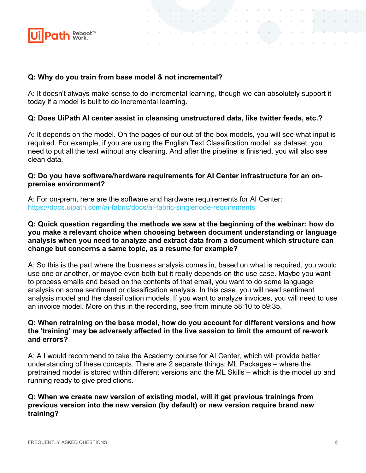

# **Q: Why do you train from base model & not incremental?**

A: It doesn't always make sense to do incremental learning, though we can absolutely support it today if a model is built to do incremental learning.

**Contract** 

# **Q: Does UiPath AI center assist in cleansing unstructured data, like twitter feeds, etc.?**

A: It depends on the model. On the pages of our out-of-the-box models, you will see what input is required. For example, if you are using the English Text Classification model, as dataset, you need to put all the text without any cleaning. And after the pipeline is finished, you will also see clean data.

# **Q: Do you have software/hardware requirements for AI Center infrastructure for an onpremise environment?**

A: For on-prem, here are the software and hardware requirements for AI Center: <https://docs.uipath.com/ai-fabric/docs/ai-fabric-singlenode-requirements>

## **Q: Quick question regarding the methods we saw at the beginning of the webinar: how do you make a relevant choice when choosing between document understanding or language analysis when you need to analyze and extract data from a document which structure can change but concerns a same topic, as a resume for example?**

A: So this is the part where the business analysis comes in, based on what is required, you would use one or another, or maybe even both but it really depends on the use case. Maybe you want to process emails and based on the contents of that email, you want to do some language analysis on some sentiment or classification analysis. In this case, you will need sentiment analysis model and the classification models. If you want to analyze invoices, you will need to use an invoice model. More on this in the recording, see from minute 58:10 to 59:35.

# **Q: When retraining on the base model, how do you account for different versions and how the 'training' may be adversely affected in the live session to limit the amount of re-work and errors?**

A: A I would recommend to take the Academy course for AI Center, which will provide better understanding of these concepts. There are 2 separate things: ML Packages – where the pretrained model is stored within different versions and the ML Skills – which is the model up and running ready to give predictions.

### **Q: When we create new version of existing model, will it get previous trainings from previous version into the new version (by default) or new version require brand new training?**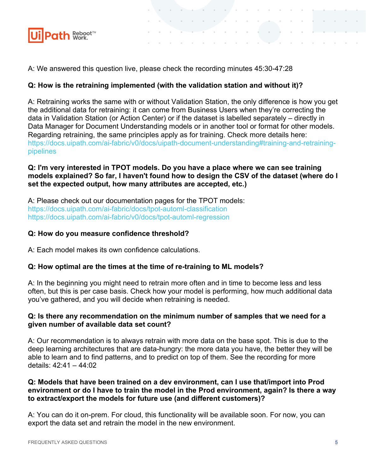

A: We answered this question live, please check the recording minutes 45:30-47:28

# **Q: How is the retraining implemented (with the validation station and without it)?**

A: Retraining works the same with or without Validation Station, the only difference is how you get the additional data for retraining: it can come from Business Users when they're correcting the data in Validation Station (or Action Center) or if the dataset is labelled separately – directly in Data Manager for Document Understanding models or in another tool or format for other models. Regarding retraining, the same principles apply as for training. Check more details here: [https://docs.uipath.com/ai-fabric/v0/docs/uipath-document-understanding#training-and-retraining](https://docs.uipath.com/ai-fabric/v0/docs/uipath-document-understanding#training-and-retraining-pipelines)[pipelines](https://docs.uipath.com/ai-fabric/v0/docs/uipath-document-understanding#training-and-retraining-pipelines)

 $\mathcal{L}_{\mathrm{max}}$ 

# **Q: I'm very interested in TPOT models. Do you have a place where we can see training models explained? So far, I haven't found how to design the CSV of the dataset (where do I set the expected output, how many attributes are accepted, etc.)**

A: Please check out our documentation pages for the TPOT models: <https://docs.uipath.com/ai-fabric/docs/tpot-automl-classification> <https://docs.uipath.com/ai-fabric/v0/docs/tpot-automl-regression>

# **Q: How do you measure confidence threshold?**

A: Each model makes its own confidence calculations.

# **Q: How optimal are the times at the time of re-training to ML models?**

A: In the beginning you might need to retrain more often and in time to become less and less often, but this is per case basis. Check how your model is performing, how much additional data you've gathered, and you will decide when retraining is needed.

#### **Q: Is there any recommendation on the minimum number of samples that we need for a given number of available data set count?**

A: Our recommendation is to always retrain with more data on the base spot. This is due to the deep learning architectures that are data-hungry: the more data you have, the better they will be able to learn and to find patterns, and to predict on top of them. See the recording for more details: 42:41 – 44:02

# **Q: Models that have been trained on a dev environment, can I use that/import into Prod environment or do I have to train the model in the Prod environment, again? Is there a way to extract/export the models for future use (and different customers)?**

A: You can do it on-prem. For cloud, this functionality will be available soon. For now, you can export the data set and retrain the model in the new environment.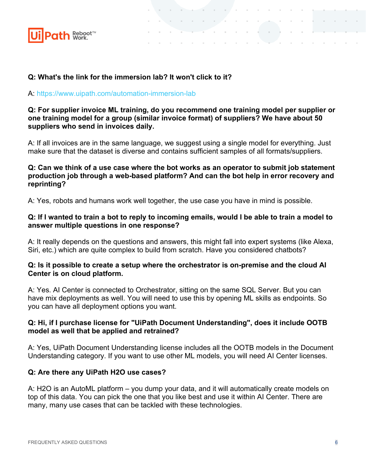

# **Q: What's the link for the immersion lab? It won't click to it?**

#### A: <https://www.uipath.com/automation-immersion-lab>

# **Q: For supplier invoice ML training, do you recommend one training model per supplier or one training model for a group (similar invoice format) of suppliers? We have about 50 suppliers who send in invoices daily.**

the control of the control of the contract and a state of

Tarihi

The Common

A: If all invoices are in the same language, we suggest using a single model for everything. Just make sure that the dataset is diverse and contains sufficient samples of all formats/suppliers.

# **Q: Can we think of a use case where the bot works as an operator to submit job statement production job through a web-based platform? And can the bot help in error recovery and reprinting?**

A: Yes, robots and humans work well together, the use case you have in mind is possible.

# **Q: If I wanted to train a bot to reply to incoming emails, would I be able to train a model to answer multiple questions in one response?**

A: It really depends on the questions and answers, this might fall into expert systems (like Alexa, Siri, etc.) which are quite complex to build from scratch. Have you considered chatbots?

#### **Q: Is it possible to create a setup where the orchestrator is on-premise and the cloud AI Center is on cloud platform.**

A: Yes. AI Center is connected to Orchestrator, sitting on the same SQL Server. But you can have mix deployments as well. You will need to use this by opening ML skills as endpoints. So you can have all deployment options you want.

# **Q: Hi, if I purchase license for "UiPath Document Understanding", does it include OOTB model as well that be applied and retrained?**

A: Yes, UiPath Document Understanding license includes all the OOTB models in the Document Understanding category. If you want to use other ML models, you will need AI Center licenses.

# **Q: Are there any UiPath H2O use cases?**

A: H2O is an AutoML platform – you dump your data, and it will automatically create models on top of this data. You can pick the one that you like best and use it within AI Center. There are many, many use cases that can be tackled with these technologies.